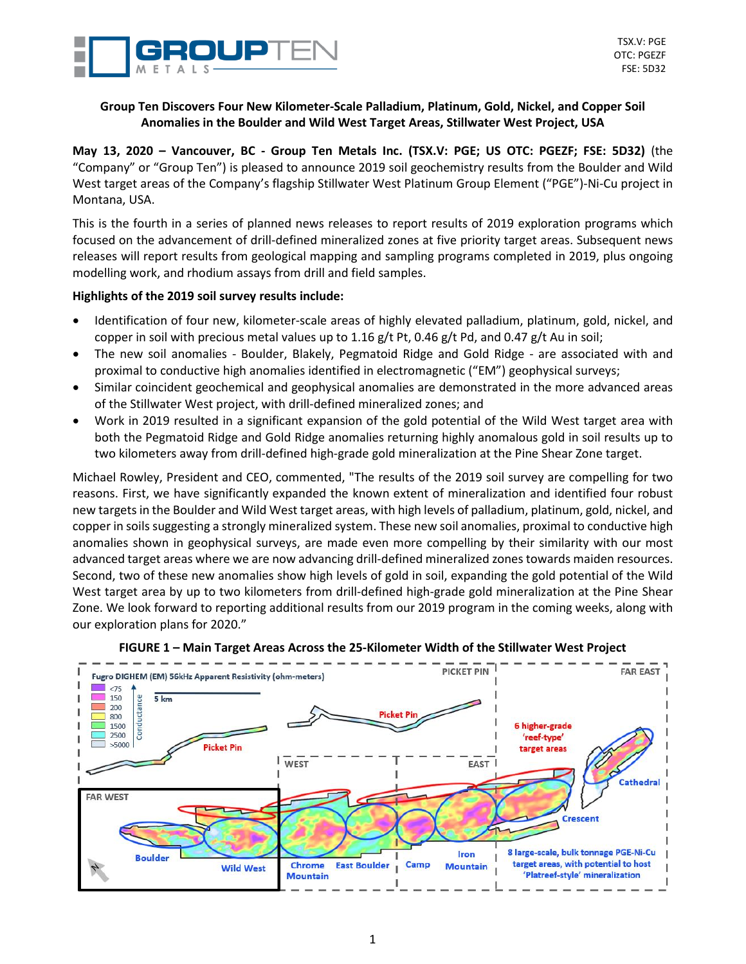

# **Group Ten Discovers Four New Kilometer-Scale Palladium, Platinum, Gold, Nickel, and Copper Soil Anomalies in the Boulder and Wild West Target Areas, Stillwater West Project, USA**

**May 13, 2020 – Vancouver, BC - Group Ten Metals Inc. (TSX.V: PGE; US OTC: PGEZF; FSE: 5D32)** (the "Company" or "Group Ten") is pleased to announce 2019 soil geochemistry results from the Boulder and Wild West target areas of the Company's flagship Stillwater West Platinum Group Element ("PGE")-Ni-Cu project in Montana, USA.

This is the fourth in a series of planned news releases to report results of 2019 exploration programs which focused on the advancement of drill-defined mineralized zones at five priority target areas. Subsequent news releases will report results from geological mapping and sampling programs completed in 2019, plus ongoing modelling work, and rhodium assays from drill and field samples.

# **Highlights of the 2019 soil survey results include:**

- Identification of four new, kilometer-scale areas of highly elevated palladium, platinum, gold, nickel, and copper in soil with precious metal values up to 1.16 g/t Pt, 0.46 g/t Pd, and 0.47 g/t Au in soil;
- The new soil anomalies Boulder, Blakely, Pegmatoid Ridge and Gold Ridge are associated with and proximal to conductive high anomalies identified in electromagnetic ("EM") geophysical surveys;
- Similar coincident geochemical and geophysical anomalies are demonstrated in the more advanced areas of the Stillwater West project, with drill-defined mineralized zones; and
- Work in 2019 resulted in a significant expansion of the gold potential of the Wild West target area with both the Pegmatoid Ridge and Gold Ridge anomalies returning highly anomalous gold in soil results up to two kilometers away from drill-defined high-grade gold mineralization at the Pine Shear Zone target.

Michael Rowley, President and CEO, commented, "The results of the 2019 soil survey are compelling for two reasons. First, we have significantly expanded the known extent of mineralization and identified four robust new targets in the Boulder and Wild West target areas, with high levels of palladium, platinum, gold, nickel, and copper in soils suggesting a strongly mineralized system. These new soil anomalies, proximal to conductive high anomalies shown in geophysical surveys, are made even more compelling by their similarity with our most advanced target areas where we are now advancing drill-defined mineralized zones towards maiden resources. Second, two of these new anomalies show high levels of gold in soil, expanding the gold potential of the Wild West target area by up to two kilometers from drill-defined high-grade gold mineralization at the Pine Shear Zone. We look forward to reporting additional results from our 2019 program in the coming weeks, along with our exploration plans for 2020."



### **FIGURE 1 – Main Target Areas Across the 25-Kilometer Width of the Stillwater West Project**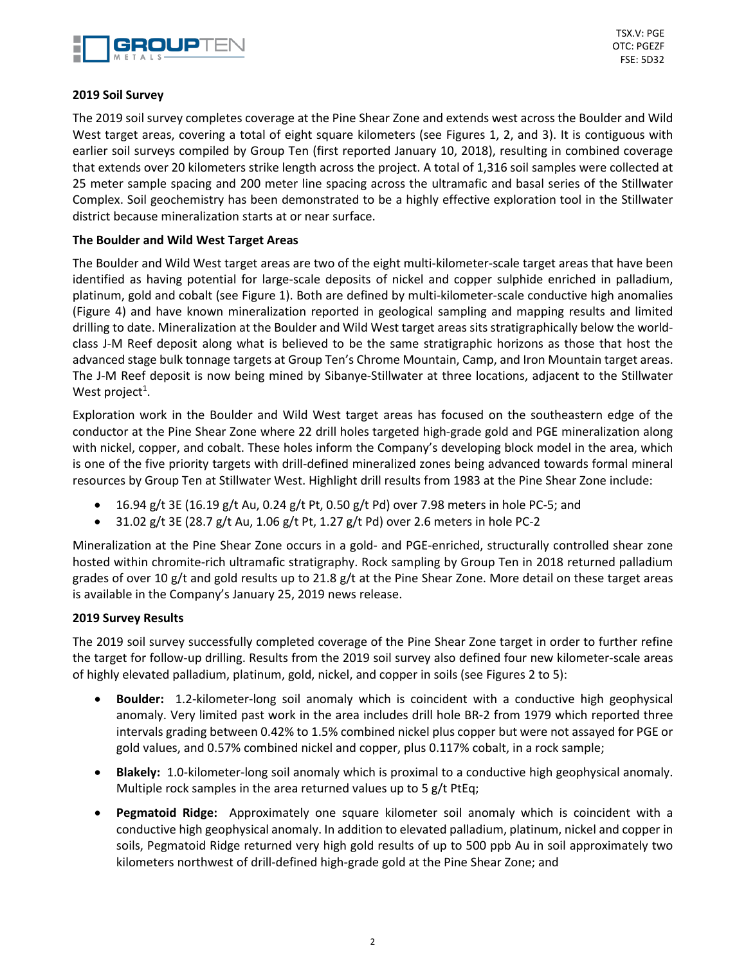

TSX.V: PGE OTC: PGEZF FSE: 5D32

## **2019 Soil Survey**

The 2019 soil survey completes coverage at the Pine Shear Zone and extends west across the Boulder and Wild West target areas, covering a total of eight square kilometers (see Figures 1, 2, and 3). It is contiguous with earlier soil surveys compiled by Group Ten (first reported January 10, 2018), resulting in combined coverage that extends over 20 kilometers strike length across the project. A total of 1,316 soil samples were collected at 25 meter sample spacing and 200 meter line spacing across the ultramafic and basal series of the Stillwater Complex. Soil geochemistry has been demonstrated to be a highly effective exploration tool in the Stillwater district because mineralization starts at or near surface.

## **The Boulder and Wild West Target Areas**

The Boulder and Wild West target areas are two of the eight multi-kilometer-scale target areas that have been identified as having potential for large-scale deposits of nickel and copper sulphide enriched in palladium, platinum, gold and cobalt (see Figure 1). Both are defined by multi-kilometer-scale conductive high anomalies (Figure 4) and have known mineralization reported in geological sampling and mapping results and limited drilling to date. Mineralization at the Boulder and Wild West target areas sits stratigraphically below the worldclass J-M Reef deposit along what is believed to be the same stratigraphic horizons as those that host the advanced stage bulk tonnage targets at Group Ten's Chrome Mountain, Camp, and Iron Mountain target areas. The J-M Reef deposit is now being mined by Sibanye-Stillwater at three locations, adjacent to the Stillwater West project<sup>1</sup>.

Exploration work in the Boulder and Wild West target areas has focused on the southeastern edge of the conductor at the Pine Shear Zone where 22 drill holes targeted high-grade gold and PGE mineralization along with nickel, copper, and cobalt. These holes inform the Company's developing block model in the area, which is one of the five priority targets with drill-defined mineralized zones being advanced towards formal mineral resources by Group Ten at Stillwater West. Highlight drill results from 1983 at the Pine Shear Zone include:

- 16.94 g/t 3E (16.19 g/t Au, 0.24 g/t Pt, 0.50 g/t Pd) over 7.98 meters in hole PC-5; and
- 31.02 g/t 3E (28.7 g/t Au, 1.06 g/t Pt, 1.27 g/t Pd) over 2.6 meters in hole PC-2

Mineralization at the Pine Shear Zone occurs in a gold- and PGE-enriched, structurally controlled shear zone hosted within chromite-rich ultramafic stratigraphy. Rock sampling by Group Ten in 2018 returned palladium grades of over 10 g/t and gold results up to 21.8 g/t at the Pine Shear Zone. More detail on these target areas is available in the Company's January 25, 2019 news release.

#### **2019 Survey Results**

The 2019 soil survey successfully completed coverage of the Pine Shear Zone target in order to further refine the target for follow-up drilling. Results from the 2019 soil survey also defined four new kilometer-scale areas of highly elevated palladium, platinum, gold, nickel, and copper in soils (see Figures 2 to 5):

- **Boulder:** 1.2-kilometer-long soil anomaly which is coincident with a conductive high geophysical anomaly. Very limited past work in the area includes drill hole BR-2 from 1979 which reported three intervals grading between 0.42% to 1.5% combined nickel plus copper but were not assayed for PGE or gold values, and 0.57% combined nickel and copper, plus 0.117% cobalt, in a rock sample;
- **Blakely:** 1.0-kilometer-long soil anomaly which is proximal to a conductive high geophysical anomaly. Multiple rock samples in the area returned values up to 5 g/t PtEq;
- **Pegmatoid Ridge:** Approximately one square kilometer soil anomaly which is coincident with a conductive high geophysical anomaly. In addition to elevated palladium, platinum, nickel and copper in soils, Pegmatoid Ridge returned very high gold results of up to 500 ppb Au in soil approximately two kilometers northwest of drill-defined high-grade gold at the Pine Shear Zone; and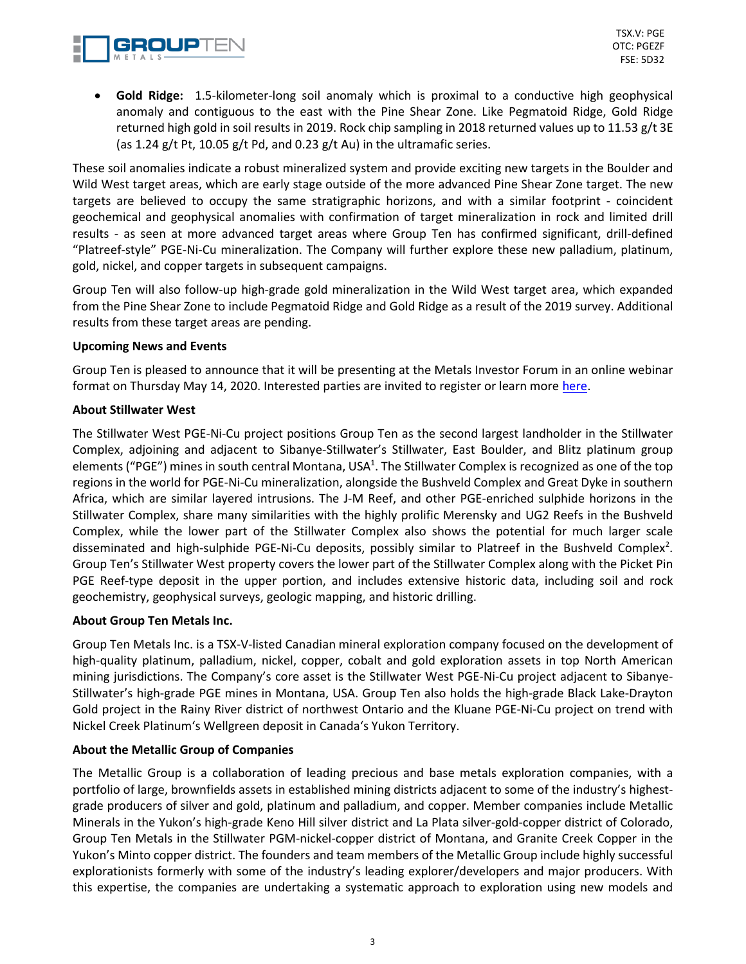

• **Gold Ridge:** 1.5-kilometer-long soil anomaly which is proximal to a conductive high geophysical anomaly and contiguous to the east with the Pine Shear Zone. Like Pegmatoid Ridge, Gold Ridge returned high gold in soil results in 2019. Rock chip sampling in 2018 returned values up to 11.53 g/t 3E (as 1.24 g/t Pt, 10.05 g/t Pd, and 0.23 g/t Au) in the ultramafic series.

These soil anomalies indicate a robust mineralized system and provide exciting new targets in the Boulder and Wild West target areas, which are early stage outside of the more advanced Pine Shear Zone target. The new targets are believed to occupy the same stratigraphic horizons, and with a similar footprint - coincident geochemical and geophysical anomalies with confirmation of target mineralization in rock and limited drill results - as seen at more advanced target areas where Group Ten has confirmed significant, drill-defined "Platreef-style" PGE-Ni-Cu mineralization. The Company will further explore these new palladium, platinum, gold, nickel, and copper targets in subsequent campaigns.

Group Ten will also follow-up high-grade gold mineralization in the Wild West target area, which expanded from the Pine Shear Zone to include Pegmatoid Ridge and Gold Ridge as a result of the 2019 survey. Additional results from these target areas are pending.

# **Upcoming News and Events**

Group Ten is pleased to announce that it will be presenting at the Metals Investor Forum in an online webinar format on Thursday May 14, 2020. Interested parties are invited to register or learn more [here.](https://www.eventbrite.ca/e/virtual-metals-investor-forum-14th-may-2020-registration-104092094256?aff=website)

## **About Stillwater West**

The Stillwater West PGE-Ni-Cu project positions Group Ten as the second largest landholder in the Stillwater Complex, adjoining and adjacent to Sibanye-Stillwater's Stillwater, East Boulder, and Blitz platinum group elements ("PGE") mines in south central Montana, USA<sup>1</sup>. The Stillwater Complex is recognized as one of the top regions in the world for PGE-Ni-Cu mineralization, alongside the Bushveld Complex and Great Dyke in southern Africa, which are similar layered intrusions. The J-M Reef, and other PGE-enriched sulphide horizons in the Stillwater Complex, share many similarities with the highly prolific Merensky and UG2 Reefs in the Bushveld Complex, while the lower part of the Stillwater Complex also shows the potential for much larger scale disseminated and high-sulphide PGE-Ni-Cu deposits, possibly similar to Platreef in the Bushveld Complex<sup>2</sup>. Group Ten's Stillwater West property covers the lower part of the Stillwater Complex along with the Picket Pin PGE Reef-type deposit in the upper portion, and includes extensive historic data, including soil and rock geochemistry, geophysical surveys, geologic mapping, and historic drilling.

# **About Group Ten Metals Inc.**

Group Ten Metals Inc. is a TSX-V-listed Canadian mineral exploration company focused on the development of high-quality platinum, palladium, nickel, copper, cobalt and gold exploration assets in top North American mining jurisdictions. The Company's core asset is the Stillwater West PGE-Ni-Cu project adjacent to Sibanye-Stillwater's high-grade PGE mines in Montana, USA. Group Ten also holds the high-grade Black Lake-Drayton Gold project in the Rainy River district of northwest Ontario and the Kluane PGE-Ni-Cu project on trend with Nickel Creek Platinum's Wellgreen deposit in Canada's Yukon Territory.

# **About the Metallic Group of Companies**

The Metallic Group is a collaboration of leading precious and base metals exploration companies, with a portfolio of large, brownfields assets in established mining districts adjacent to some of the industry's highestgrade producers of silver and gold, platinum and palladium, and copper. Member companies include Metallic Minerals in the Yukon's high-grade Keno Hill silver district and La Plata silver-gold-copper district of Colorado, Group Ten Metals in the Stillwater PGM-nickel-copper district of Montana, and Granite Creek Copper in the Yukon's Minto copper district. The founders and team members of the Metallic Group include highly successful explorationists formerly with some of the industry's leading explorer/developers and major producers. With this expertise, the companies are undertaking a systematic approach to exploration using new models and